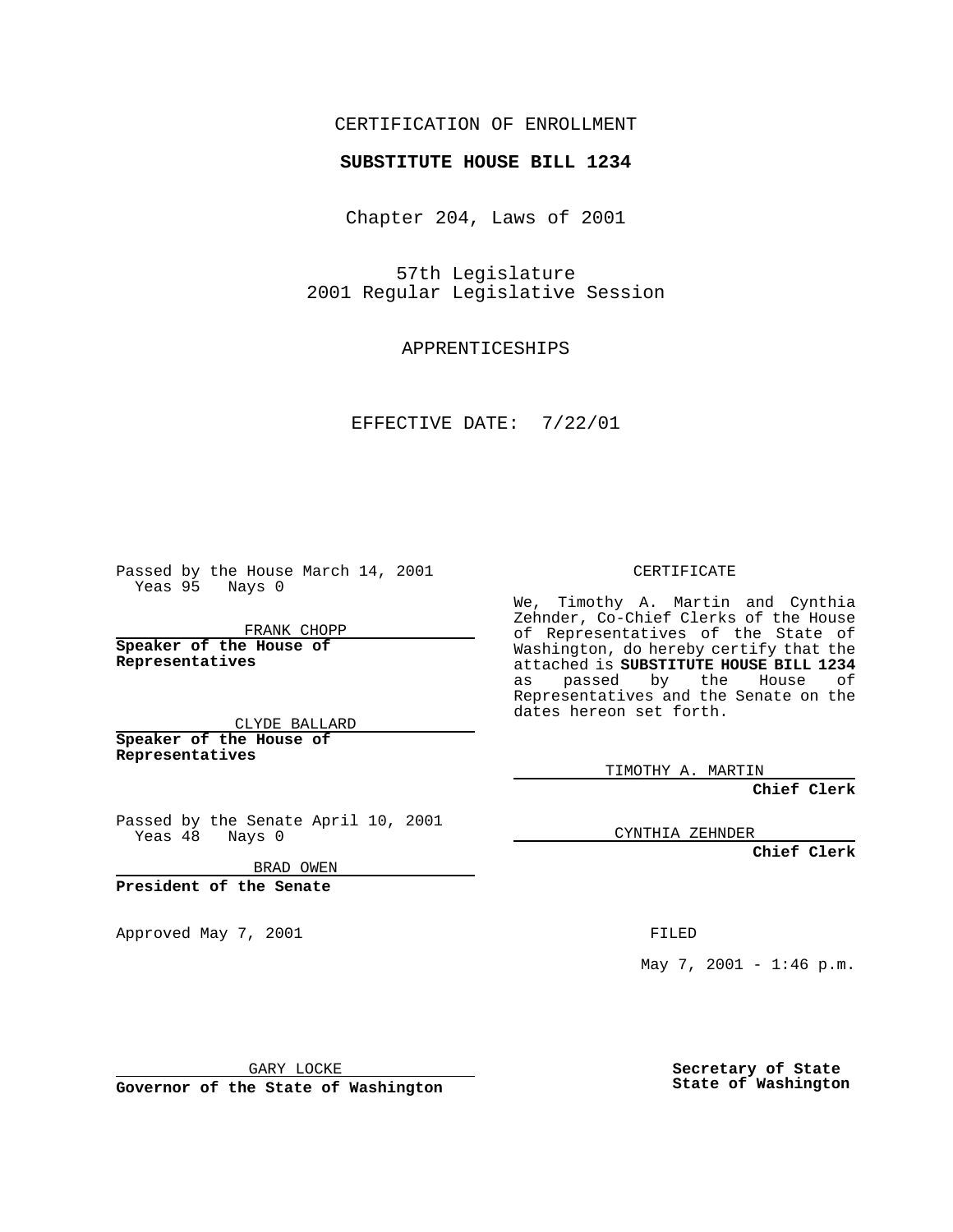## CERTIFICATION OF ENROLLMENT

## **SUBSTITUTE HOUSE BILL 1234**

Chapter 204, Laws of 2001

57th Legislature 2001 Regular Legislative Session

APPRENTICESHIPS

EFFECTIVE DATE: 7/22/01

Passed by the House March 14, 2001 Yeas 95 Nays 0

FRANK CHOPP

**Speaker of the House of Representatives**

CLYDE BALLARD **Speaker of the House of**

**Representatives**

Passed by the Senate April 10, 2001 Yeas 48 Nays 0

BRAD OWEN

**President of the Senate**

Approved May 7, 2001 FILED

CERTIFICATE

We, Timothy A. Martin and Cynthia Zehnder, Co-Chief Clerks of the House of Representatives of the State of Washington, do hereby certify that the attached is **SUBSTITUTE HOUSE BILL 1234** as passed by the House of Representatives and the Senate on the dates hereon set forth.

TIMOTHY A. MARTIN

**Chief Clerk**

CYNTHIA ZEHNDER

**Chief Clerk**

May 7, 2001 - 1:46 p.m.

GARY LOCKE

**Governor of the State of Washington**

**Secretary of State State of Washington**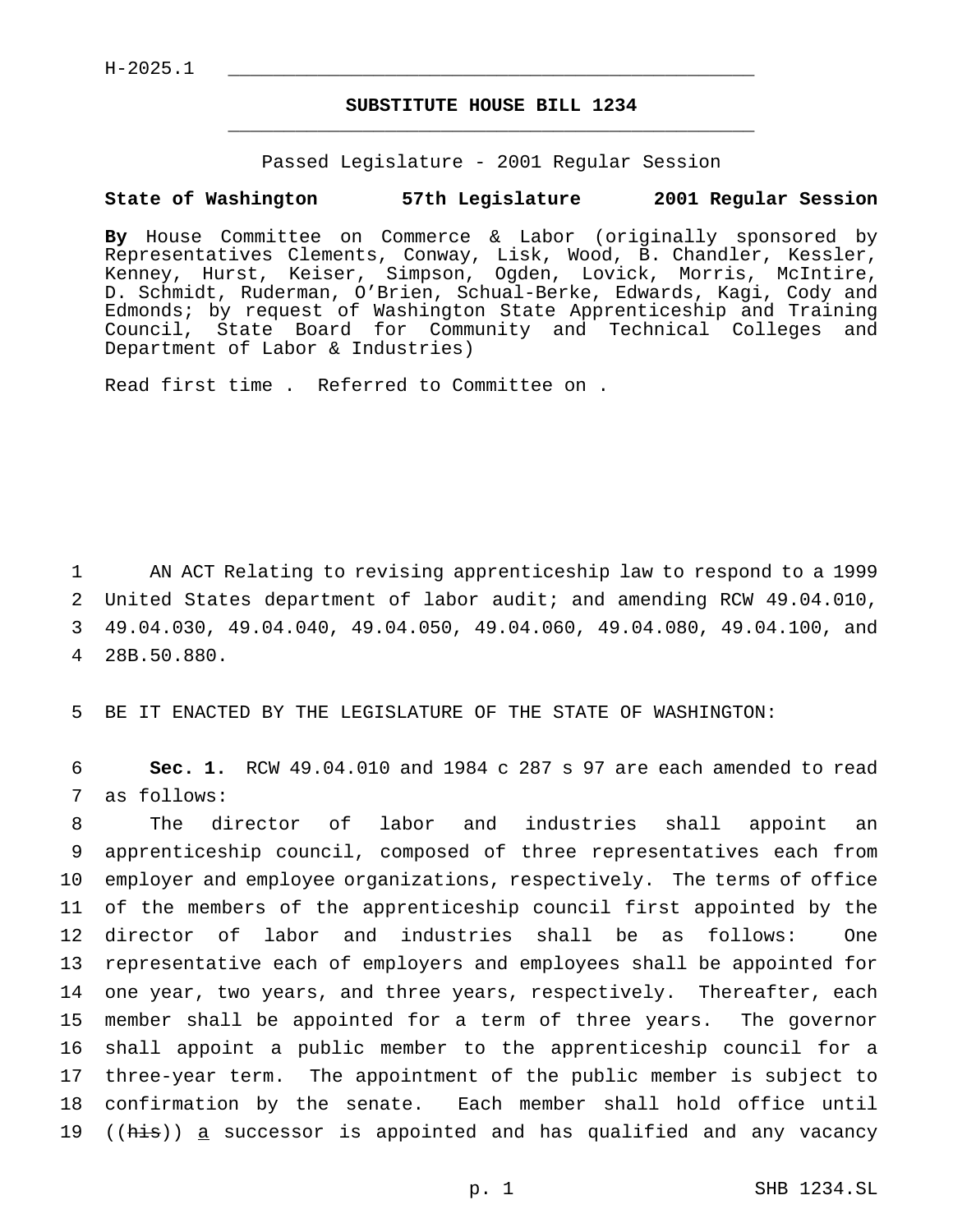$H-2025.1$ 

## **SUBSTITUTE HOUSE BILL 1234** \_\_\_\_\_\_\_\_\_\_\_\_\_\_\_\_\_\_\_\_\_\_\_\_\_\_\_\_\_\_\_\_\_\_\_\_\_\_\_\_\_\_\_\_\_\_\_

Passed Legislature - 2001 Regular Session

## **State of Washington 57th Legislature 2001 Regular Session**

**By** House Committee on Commerce & Labor (originally sponsored by Representatives Clements, Conway, Lisk, Wood, B. Chandler, Kessler, Kenney, Hurst, Keiser, Simpson, Ogden, Lovick, Morris, McIntire, D. Schmidt, Ruderman, O'Brien, Schual-Berke, Edwards, Kagi, Cody and Edmonds; by request of Washington State Apprenticeship and Training Council, State Board for Community and Technical Colleges and Department of Labor & Industries)

Read first time . Referred to Committee on .

 AN ACT Relating to revising apprenticeship law to respond to a 1999 United States department of labor audit; and amending RCW 49.04.010, 49.04.030, 49.04.040, 49.04.050, 49.04.060, 49.04.080, 49.04.100, and 28B.50.880.

5 BE IT ENACTED BY THE LEGISLATURE OF THE STATE OF WASHINGTON:

6 **Sec. 1.** RCW 49.04.010 and 1984 c 287 s 97 are each amended to read 7 as follows:

 The director of labor and industries shall appoint an apprenticeship council, composed of three representatives each from employer and employee organizations, respectively. The terms of office of the members of the apprenticeship council first appointed by the director of labor and industries shall be as follows: One representative each of employers and employees shall be appointed for one year, two years, and three years, respectively. Thereafter, each member shall be appointed for a term of three years. The governor shall appoint a public member to the apprenticeship council for a three-year term. The appointment of the public member is subject to confirmation by the senate. Each member shall hold office until 19 ((his)) a successor is appointed and has qualified and any vacancy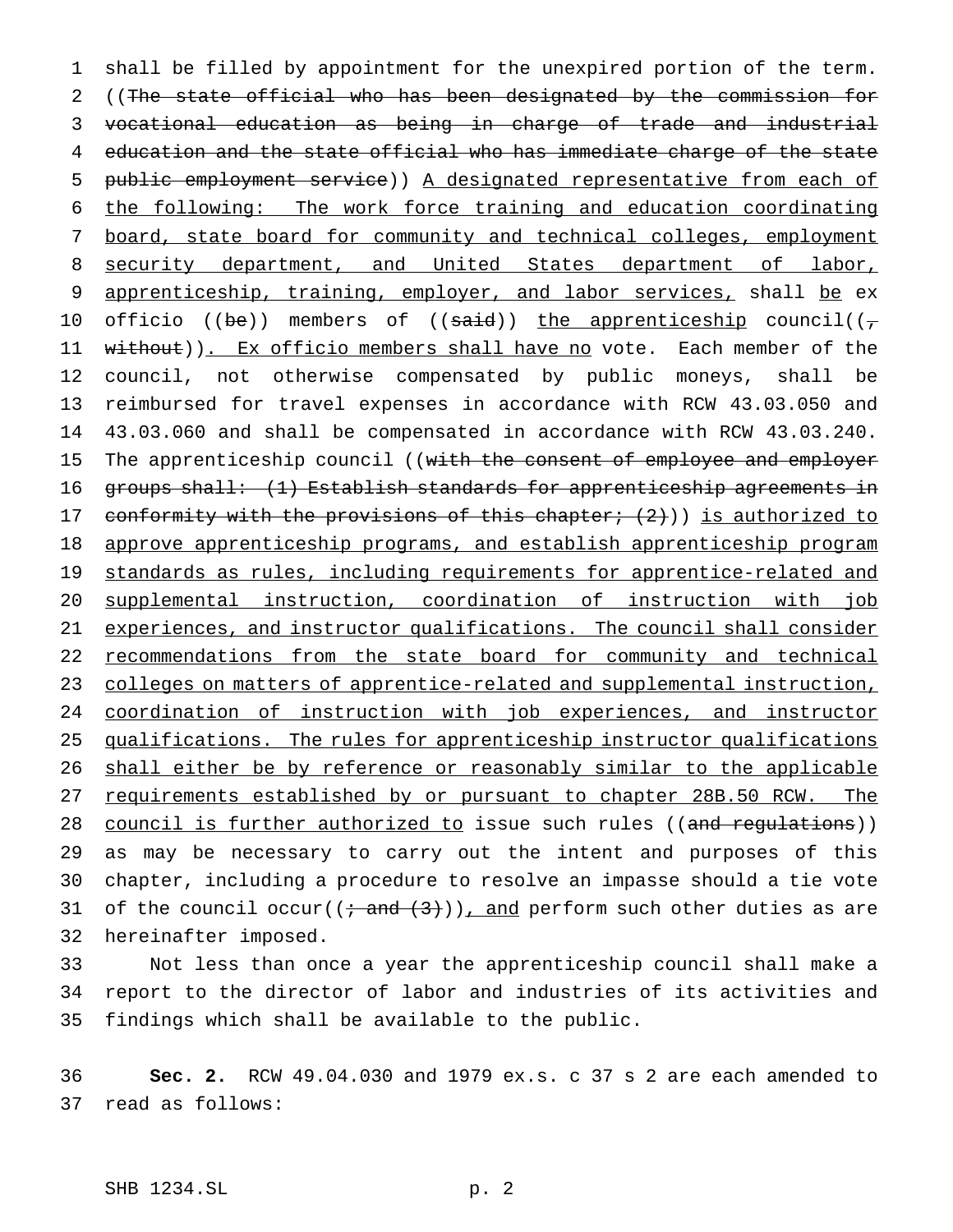1 shall be filled by appointment for the unexpired portion of the term. 2 ((The state official who has been designated by the commission for 3 vocational education as being in charge of trade and industrial 4 education and the state official who has immediate charge of the state 5 public employment service)) A designated representative from each of 6 the following: The work force training and education coordinating 7 board, state board for community and technical colleges, employment 8 security department, and United States department of labor, 9 apprenticeship, training, employer, and labor services, shall be ex 10 officio ((be)) members of ((said)) the apprenticeship council( $(\tau)$ 11 without)). Ex officio members shall have no vote. Each member of the 12 council, not otherwise compensated by public moneys, shall be 13 reimbursed for travel expenses in accordance with RCW 43.03.050 and 14 43.03.060 and shall be compensated in accordance with RCW 43.03.240. 15 The apprenticeship council ((with the consent of employee and employer 16 groups shall: (1) Establish standards for apprenticeship agreements in 17 conformity with the provisions of this chapter; (2))) is authorized to 18 approve apprenticeship programs, and establish apprenticeship program 19 standards as rules, including requirements for apprentice-related and 20 supplemental instruction, coordination of instruction with job 21 experiences, and instructor qualifications. The council shall consider 22 recommendations from the state board for community and technical 23 colleges on matters of apprentice-related and supplemental instruction, 24 coordination of instruction with job experiences, and instructor 25 qualifications. The rules for apprenticeship instructor qualifications 26 shall either be by reference or reasonably similar to the applicable 27 requirements established by or pursuant to chapter 28B.50 RCW. The 28 council is further authorized to issue such rules ((and regulations)) 29 as may be necessary to carry out the intent and purposes of this 30 chapter, including a procedure to resolve an impasse should a tie vote 31 of the council occur( $\left(i + \frac{1}{2}\right)$ ), and perform such other duties as are 32 hereinafter imposed.

33 Not less than once a year the apprenticeship council shall make a 34 report to the director of labor and industries of its activities and 35 findings which shall be available to the public.

36 **Sec. 2.** RCW 49.04.030 and 1979 ex.s. c 37 s 2 are each amended to 37 read as follows: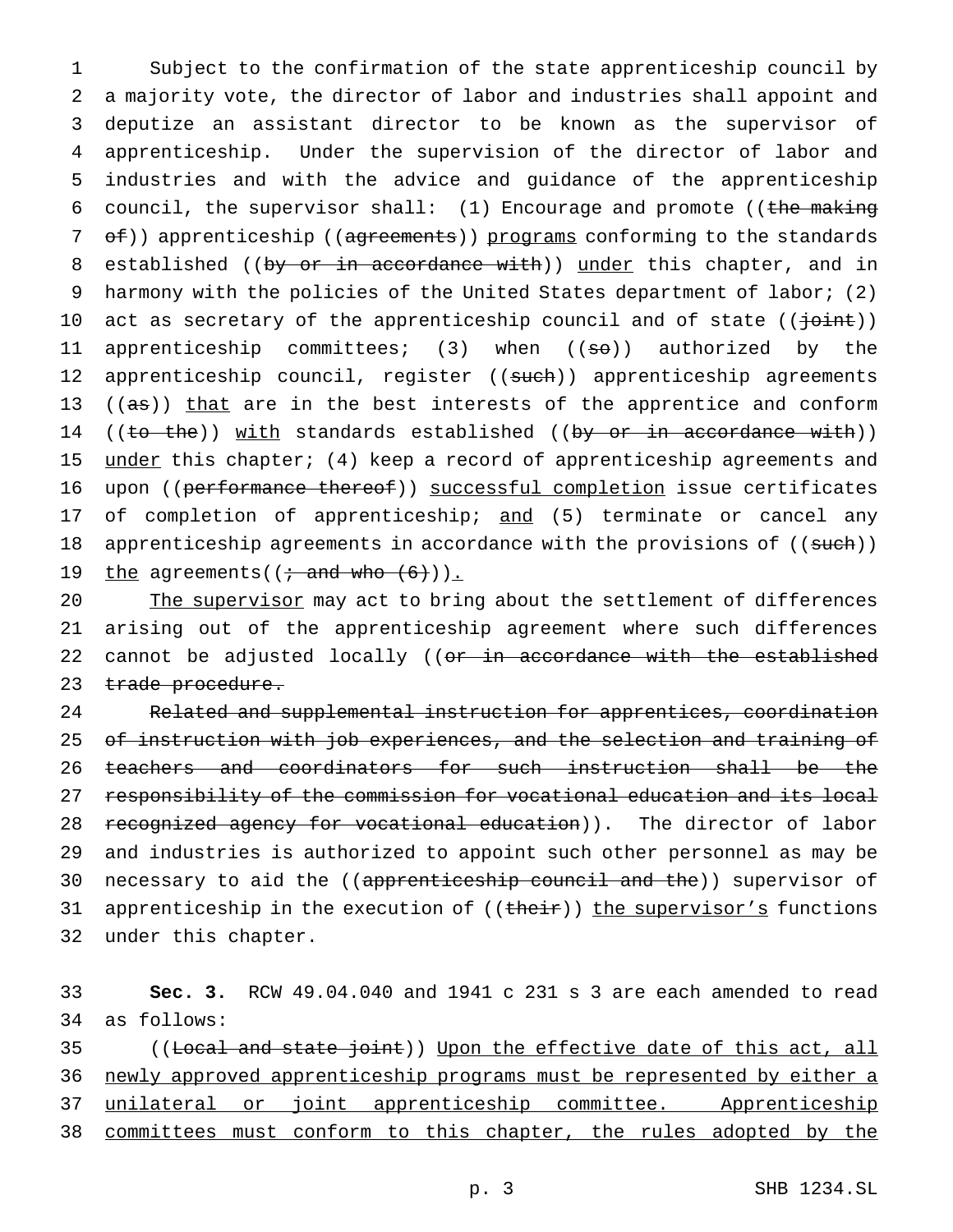1 Subject to the confirmation of the state apprenticeship council by 2 a majority vote, the director of labor and industries shall appoint and 3 deputize an assistant director to be known as the supervisor of 4 apprenticeship. Under the supervision of the director of labor and 5 industries and with the advice and guidance of the apprenticeship 6 council, the supervisor shall:  $(1)$  Encourage and promote ((the making 7 of)) apprenticeship ((agreements)) programs conforming to the standards 8 established ((by or in accordance with)) under this chapter, and in 9 harmony with the policies of the United States department of labor; (2) 10 act as secretary of the apprenticeship council and of state (( $\frac{1}{10}$ int)) 11 apprenticeship committees; (3) when ((<del>so</del>)) authorized by the 12 apprenticeship council, register ((such)) apprenticeship agreements 13 ((as)) that are in the best interests of the apprentice and conform 14 ((to the)) with standards established ((by or in accordance with)) 15 under this chapter; (4) keep a record of apprenticeship agreements and 16 upon ((performance thereof)) successful completion issue certificates 17 of completion of apprenticeship; and (5) terminate or cancel any 18 apprenticeship agreements in accordance with the provisions of ((such)) 19 the agreements( $(i \text{ and who } (6))$ ).

20 The supervisor may act to bring about the settlement of differences 21 arising out of the apprenticeship agreement where such differences 22 cannot be adjusted locally ((or in accordance with the established 23 trade procedure.

24 Related and supplemental instruction for apprentices, coordination 25 of instruction with job experiences, and the selection and training of 26 teachers and coordinators for such instruction shall be the 27 responsibility of the commission for vocational education and its local 28 recognized agency for vocational education)). The director of labor 29 and industries is authorized to appoint such other personnel as may be 30 necessary to aid the ((apprenticeship council and the)) supervisor of 31 apprenticeship in the execution of ((their)) the supervisor's functions 32 under this chapter.

33 **Sec. 3.** RCW 49.04.040 and 1941 c 231 s 3 are each amended to read 34 as follows:

35 ((Local and state joint)) Upon the effective date of this act, all 36 newly approved apprenticeship programs must be represented by either a 37 unilateral or joint apprenticeship committee. Apprenticeship 38 committees must conform to this chapter, the rules adopted by the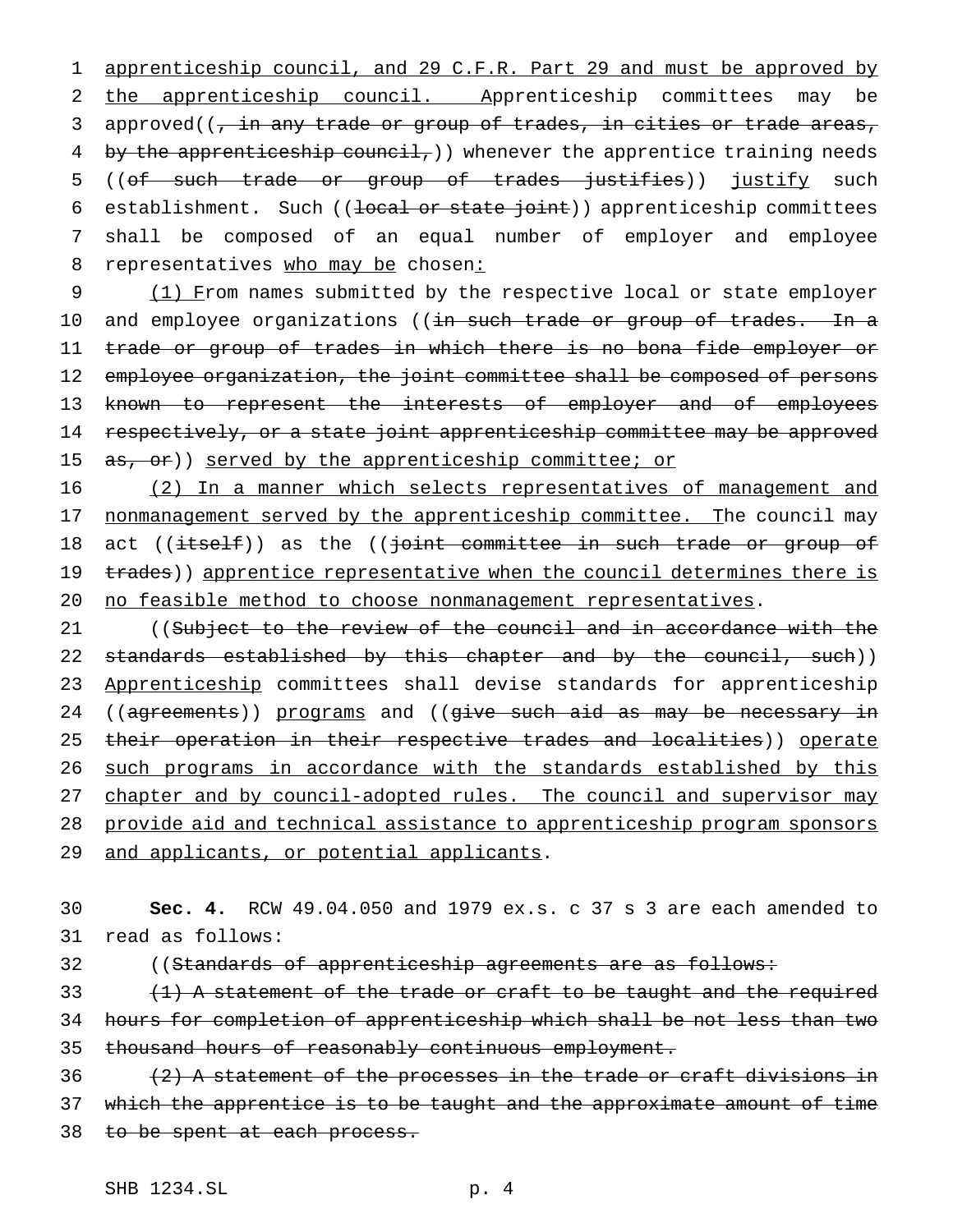1 apprenticeship council, and 29 C.F.R. Part 29 and must be approved by 2 the apprenticeship council. Apprenticeship committees may be 3 approved((, in any trade or group of trades, in cities or trade areas, 4 by the apprenticeship council, ) whenever the apprentice training needs 5 ((of such trade or group of trades justifies)) justify such 6 establishment. Such ((local or state joint)) apprenticeship committees 7 shall be composed of an equal number of employer and employee 8 representatives who may be chosen:

9 (1) From names submitted by the respective local or state employer 10 and employee organizations ((in such trade or group of trades. In a 11 trade or group of trades in which there is no bona fide employer or 12 employee organization, the joint committee shall be composed of persons 13 known to represent the interests of employer and of employees 14 respectively, or a state joint apprenticeship committee may be approved 15 as, or)) served by the apprenticeship committee; or

16 (2) In a manner which selects representatives of management and 17 nonmanagement served by the apprenticeship committee. The council may 18 act ((itself)) as the ((joint committee in such trade or group of 19 trades)) apprentice representative when the council determines there is 20 no feasible method to choose nonmanagement representatives.

21 ((Subject to the review of the council and in accordance with the 22 standards established by this chapter and by the council, such)) 23 Apprenticeship committees shall devise standards for apprenticeship 24 ((agreements)) programs and ((give such aid as may be necessary in 25 their operation in their respective trades and localities)) operate 26 such programs in accordance with the standards established by this 27 chapter and by council-adopted rules. The council and supervisor may 28 provide aid and technical assistance to apprenticeship program sponsors 29 and applicants, or potential applicants.

30 **Sec. 4.** RCW 49.04.050 and 1979 ex.s. c 37 s 3 are each amended to 31 read as follows:

32 ((Standards of apprenticeship agreements are as follows:

33  $(1)$  A statement of the trade or craft to be taught and the required 34 hours for completion of apprenticeship which shall be not less than two 35 thousand hours of reasonably continuous employment.

 $36$  (2) A statement of the processes in the trade or craft divisions in 37 which the apprentice is to be taught and the approximate amount of time 38 to be spent at each process.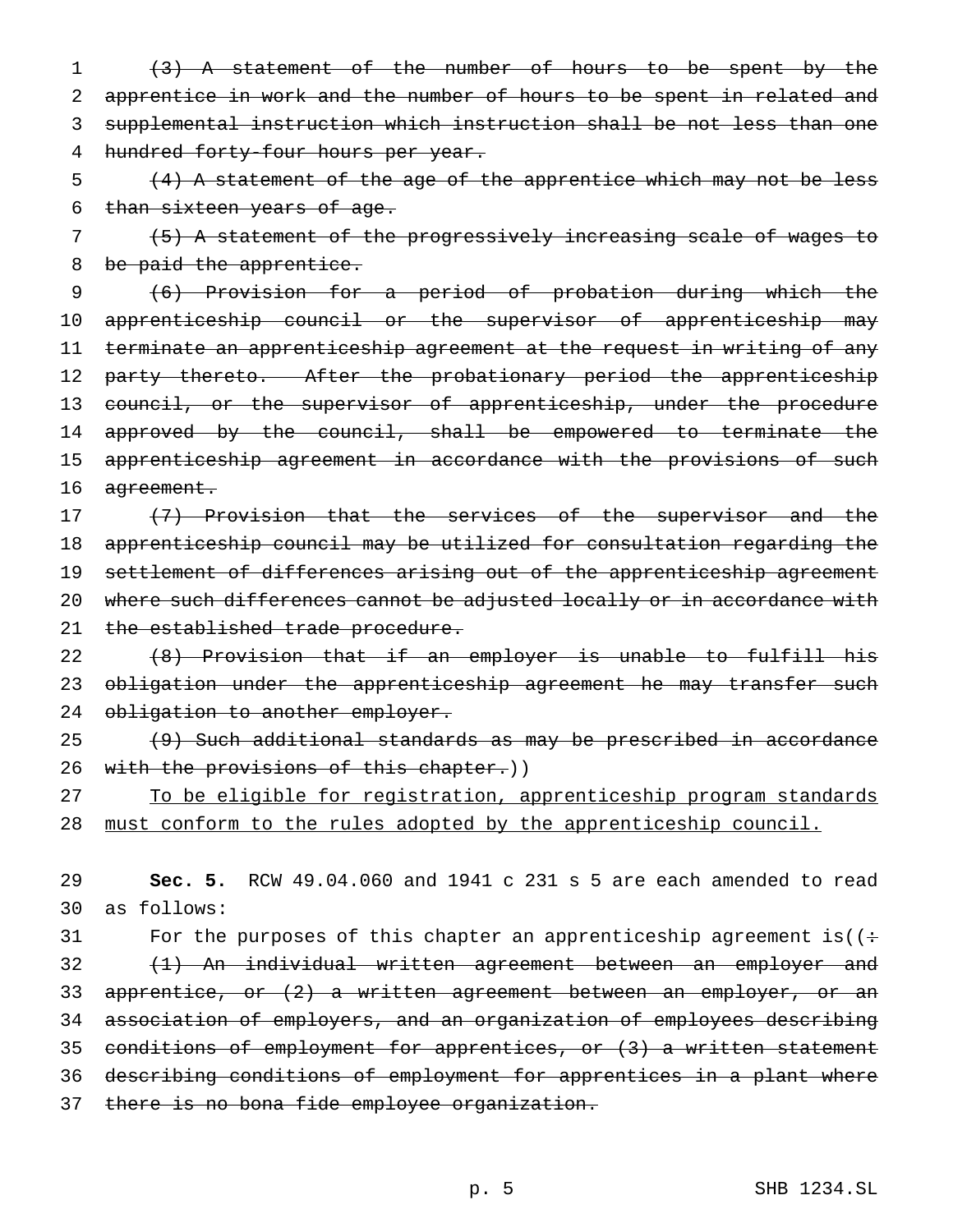(3) A statement of the number of hours to be spent by the apprentice in work and the number of hours to be spent in related and supplemental instruction which instruction shall be not less than one 4 hundred forty-four hours per year.

 $\frac{4}{4}$  A statement of the age of the apprentice which may not be less 6 than sixteen years of age.

7 (5) A statement of the progressively increasing scale of wages to 8 be paid the apprentice.

9 (6) Provision for a period of probation during which the 10 apprenticeship council or the supervisor of apprenticeship may 11 terminate an apprenticeship agreement at the request in writing of any 12 party thereto. After the probationary period the apprenticeship 13 council, or the supervisor of apprenticeship, under the procedure 14 approved by the council, shall be empowered to terminate the 15 apprenticeship agreement in accordance with the provisions of such 16 agreement.

17 (7) Provision that the services of the supervisor and the 18 apprenticeship council may be utilized for consultation regarding the 19 settlement of differences arising out of the apprenticeship agreement 20 where such differences cannot be adjusted locally or in accordance with 21 the established trade procedure.

22 (8) Provision that if an employer is unable to fulfill his 23 obligation under the apprenticeship agreement he may transfer such 24 obligation to another employer.

25 (9) Such additional standards as may be prescribed in accordance 26 with the provisions of this chapter.))

27 To be eligible for registration, apprenticeship program standards 28 must conform to the rules adopted by the apprenticeship council.

29 **Sec. 5.** RCW 49.04.060 and 1941 c 231 s 5 are each amended to read 30 as follows:

31 For the purposes of this chapter an apprenticeship agreement is( $($ : (1) An individual written agreement between an employer and 33 apprentice, or (2) a written agreement between an employer, or an association of employers, and an organization of employees describing conditions of employment for apprentices, or (3) a written statement describing conditions of employment for apprentices in a plant where there is no bona fide employee organization.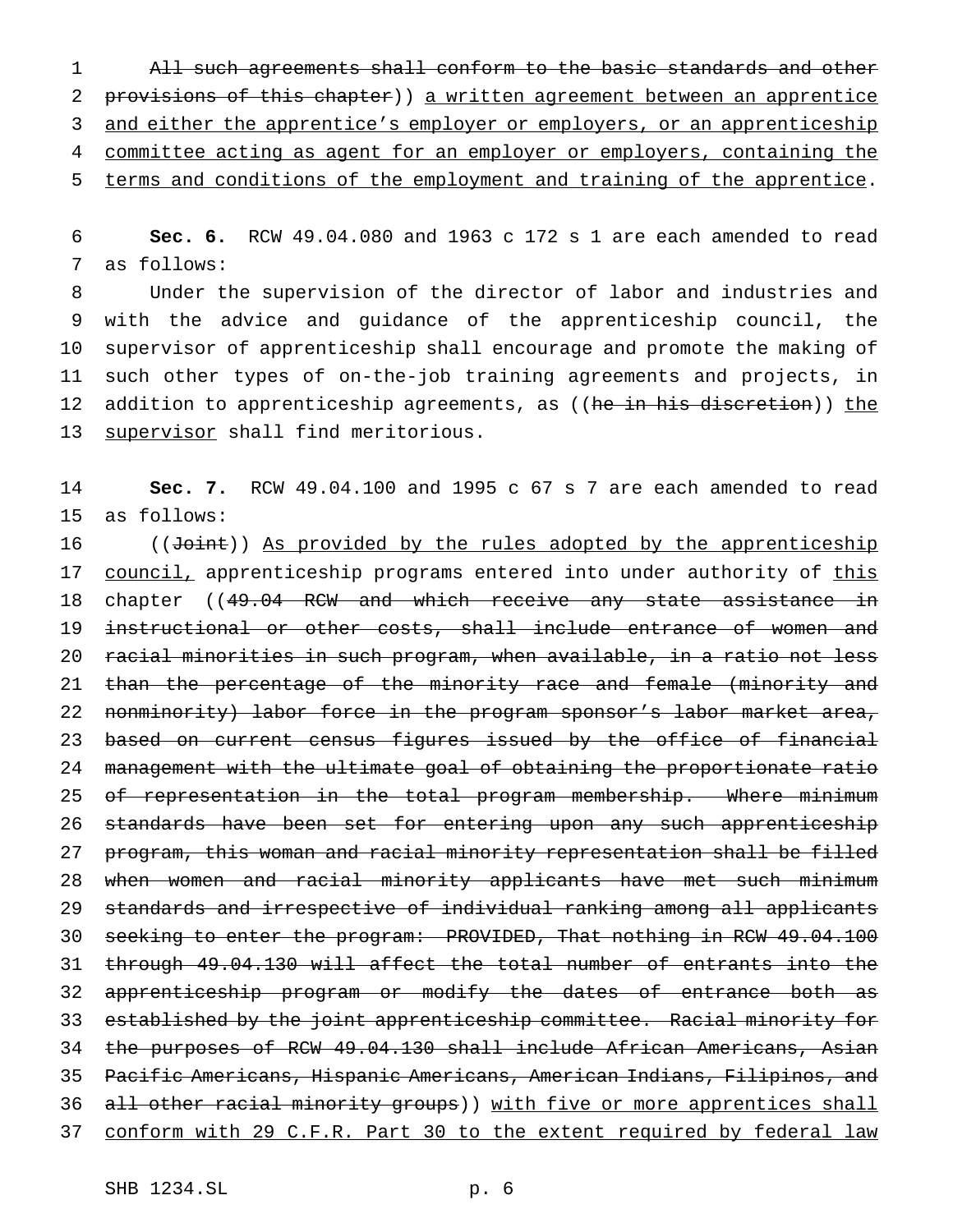All such agreements shall conform to the basic standards and other provisions of this chapter)) a written agreement between an apprentice 3 and either the apprentice's employer or employers, or an apprenticeship 4 committee acting as agent for an employer or employers, containing the terms and conditions of the employment and training of the apprentice.

 **Sec. 6.** RCW 49.04.080 and 1963 c 172 s 1 are each amended to read as follows:

 Under the supervision of the director of labor and industries and with the advice and guidance of the apprenticeship council, the supervisor of apprenticeship shall encourage and promote the making of such other types of on-the-job training agreements and projects, in 12 addition to apprenticeship agreements, as ((<del>he in his discretion</del>)) <u>the</u> 13 supervisor shall find meritorious.

 **Sec. 7.** RCW 49.04.100 and 1995 c 67 s 7 are each amended to read as follows:

16 ((Joint)) As provided by the rules adopted by the apprenticeship 17 council, apprenticeship programs entered into under authority of this 18 chapter ((49.04 RCW and which receive any state assistance in instructional or other costs, shall include entrance of women and racial minorities in such program, when available, in a ratio not less 21 than the percentage of the minority race and female (minority and 22 nonminority) labor force in the program sponsor's labor market area, 23 based on current census figures issued by the office of financial management with the ultimate goal of obtaining the proportionate ratio 25 of representation in the total program membership. Where minimum 26 standards have been set for entering upon any such apprenticeship program, this woman and racial minority representation shall be filled when women and racial minority applicants have met such minimum standards and irrespective of individual ranking among all applicants seeking to enter the program: PROVIDED, That nothing in RCW 49.04.100 through 49.04.130 will affect the total number of entrants into the 32 apprenticeship program or modify the dates of entrance both as established by the joint apprenticeship committee. Racial minority for the purposes of RCW 49.04.130 shall include African Americans, Asian Pacific Americans, Hispanic Americans, American Indians, Filipinos, and 36 all other racial minority groups)) with five or more apprentices shall conform with 29 C.F.R. Part 30 to the extent required by federal law